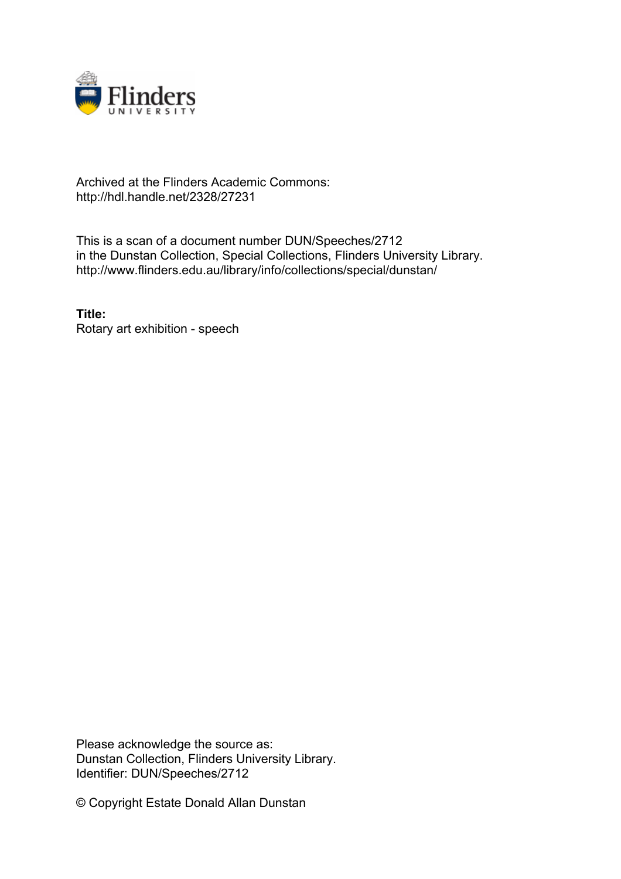

## Archived at the Flinders Academic Commons: http://hdl.handle.net/2328/27231

This is a scan of a document number DUN/Speeches/2712 in the Dunstan Collection, Special Collections, Flinders University Library. http://www.flinders.edu.au/library/info/collections/special/dunstan/

**Title:** Rotary art exhibition - speech

Please acknowledge the source as: Dunstan Collection, Flinders University Library. Identifier: DUN/Speeches/2712

© Copyright Estate Donald Allan Dunstan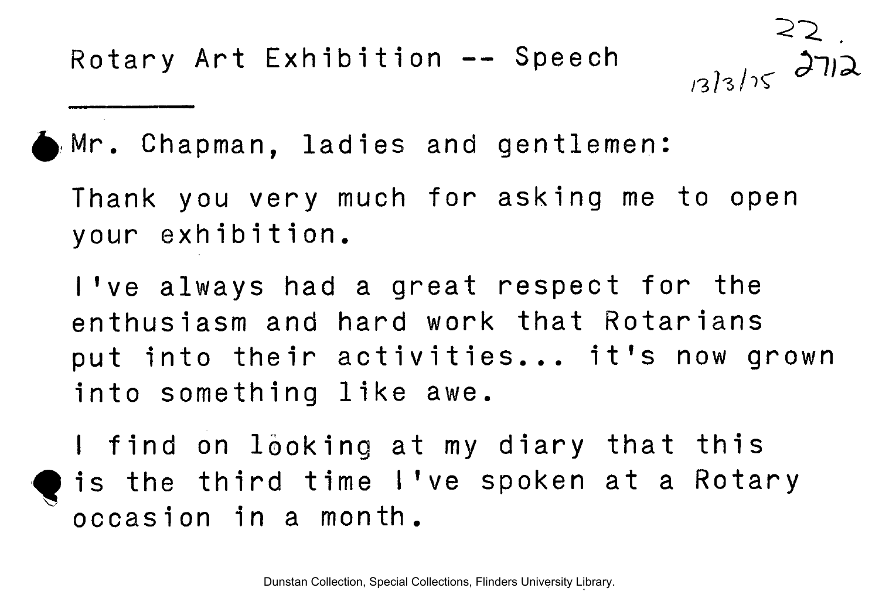

 $313/15$  2712

**Mr. Chapman, ladie s and gentlemen:** 

**Thank you very much for asking me to open your exhibition .** 

**I've always had a great respect for the enthusiasm and hard work that Rotarians**  put into their activities... it's now grown into something like awe.

**I** find on looking at my diary that this is the third time I've spoken at a Rotary **occasion in a month.**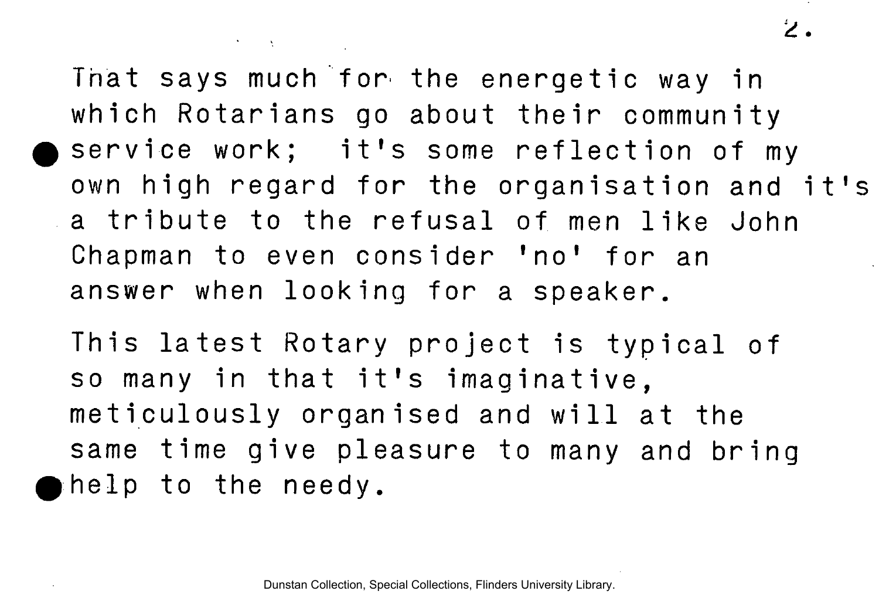That says much for the energetic way in **which Rotarians go about their community**  service work; it's some reflection of my own high regard for the organisation and it's **a** tribute to the refusal of men like John **Chapman to even consider 'no' for an answer when looking for a speaker.** 

 $\mathcal{O}(\mathcal{N})$  and  $\mathcal{N}$  are  $\mathcal{O}(\mathcal{N})$  .

**This latest Rotary project is typical of** so many in that it's imaginative, **meticulousl y organised and wil l at the same time give pleasure to many and bring**   $\bullet$  help to the needy.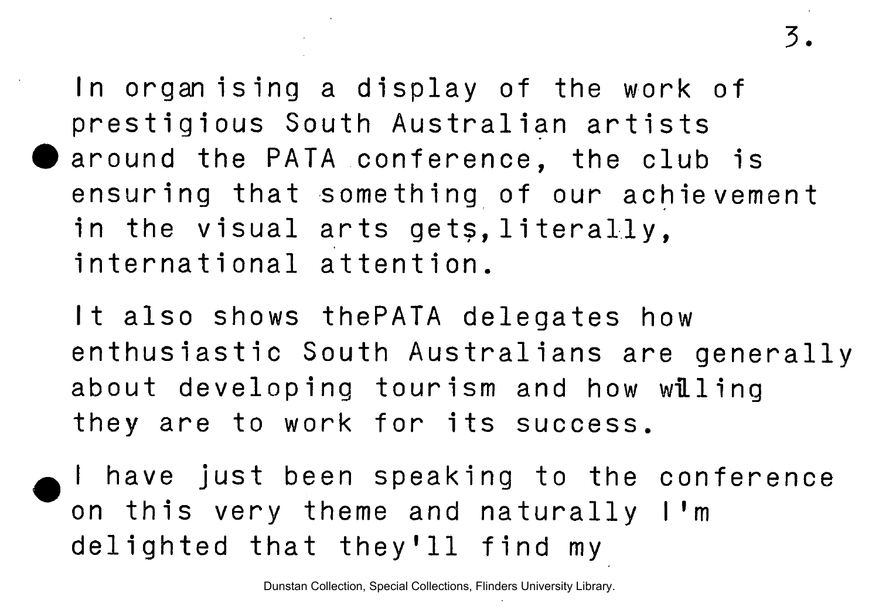3.

In organising a display of the work of **prestigious South Australian artists • around the PATA conference, the club is ensuring that something of our achievement** in the visual arts gets, literally, **internationa l attention .** 

**I t also shows thePATA delegates how enthusiasti c South Australian s are generall y about developing tourism and how wiLling**  they are to work for its success.

I have just been speaking to the conference **on this very theme and naturally I'm** delighted that they'll find my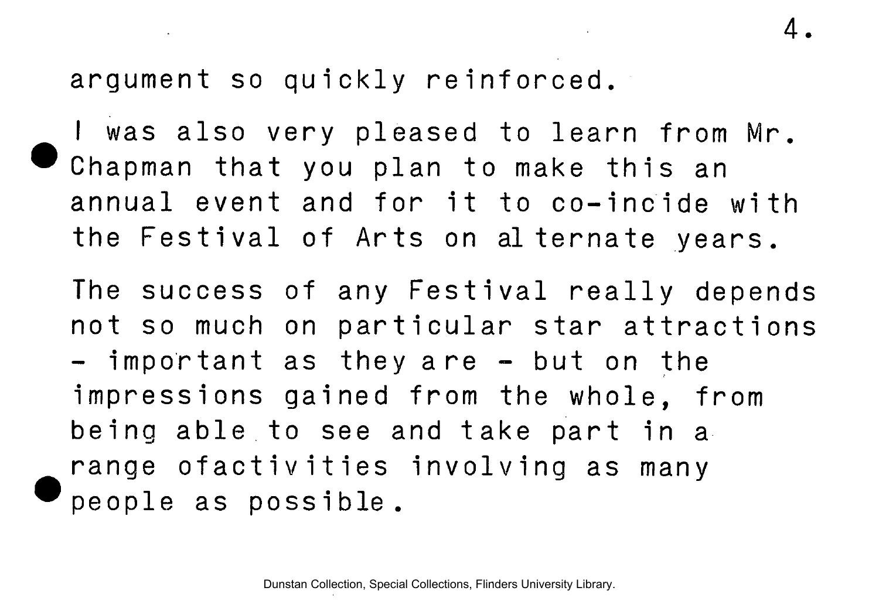argument so quickly reinforced.

I was also very pleased to learn from Mr. Chapman that you plan to make this an annual event and for it to co-incide with **the Festival of Arts on alternate years.** 

4.

The success of any Festival really depends **not so much on particular star attractions**  $-$  important as they are  $-$  but on the **impressions gained from the whole, from**  being able to see and take part in a **range ofactivities involving as many ®peopl e as possible .**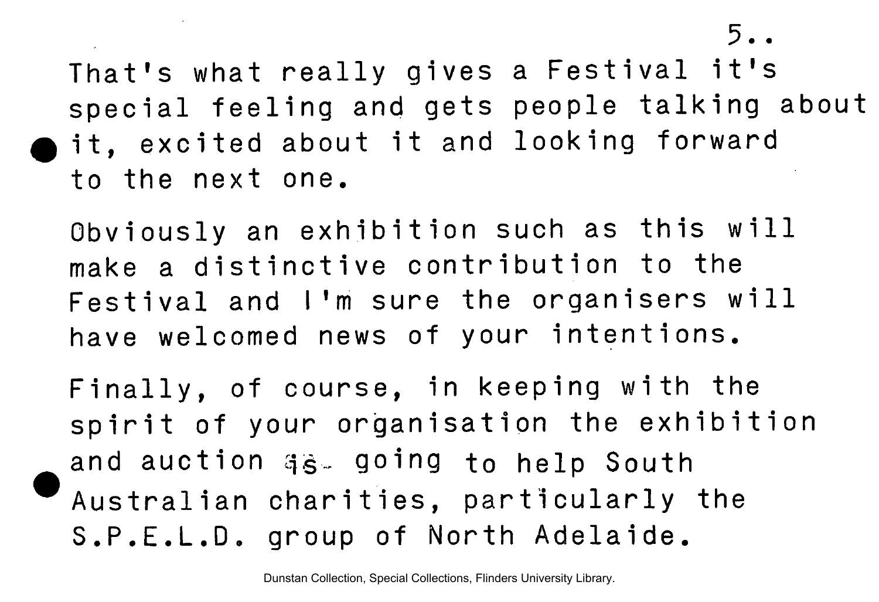$5.$ 

That's what really gives a Festival it's special feeling and gets people talking about it, excited about it and looking forward **to the next one.** 

Obviously an exhibition such as this will make a distinctive contribution to the Festival and I'm sure the organisers will **have welcomed news of your intentions .** 

**Finally , of course, in keeping with the**  spirit of your organisation the exhibition **and auction qg.. going to help South Australia n charities , particularl y the S.P.E.L.D . group of North Adelaide .**